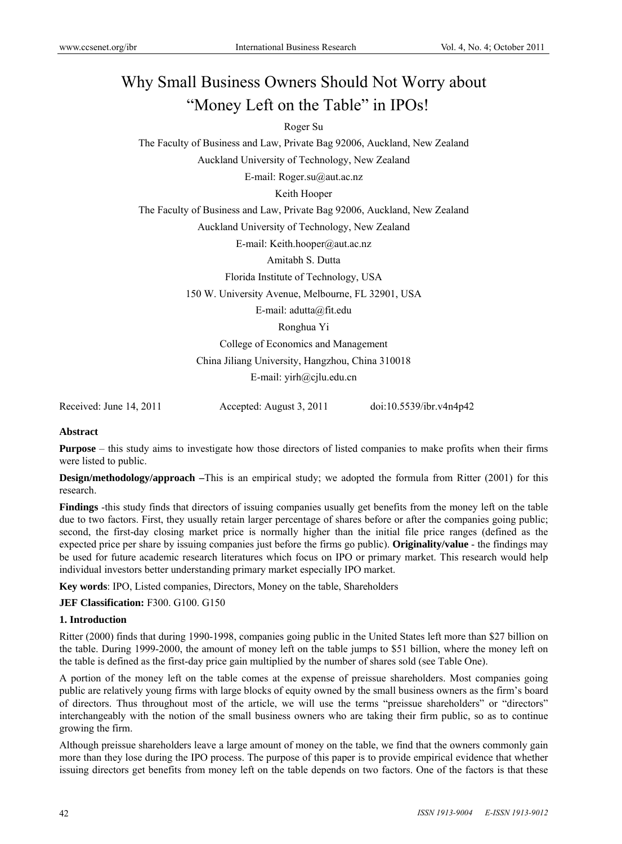# Why Small Business Owners Should Not Worry about "Money Left on the Table" in IPOs!

# Roger Su

The Faculty of Business and Law, Private Bag 92006, Auckland, New Zealand Auckland University of Technology, New Zealand

E-mail: Roger.su@aut.ac.nz

Keith Hooper

The Faculty of Business and Law, Private Bag 92006, Auckland, New Zealand

Auckland University of Technology, New Zealand

E-mail: Keith.hooper@aut.ac.nz

Amitabh S. Dutta

Florida Institute of Technology, USA

150 W. University Avenue, Melbourne, FL 32901, USA

E-mail: adutta@fit.edu

Ronghua Yi

College of Economics and Management

China Jiliang University, Hangzhou, China 310018

E-mail: yirh@cjlu.edu.cn

Received: June 14, 2011 Accepted: August 3, 2011 doi:10.5539/ibr.v4n4p42

## **Abstract**

**Purpose** – this study aims to investigate how those directors of listed companies to make profits when their firms were listed to public.

**Design/methodology/approach** –This is an empirical study; we adopted the formula from Ritter (2001) for this research.

**Findings** -this study finds that directors of issuing companies usually get benefits from the money left on the table due to two factors. First, they usually retain larger percentage of shares before or after the companies going public; second, the first-day closing market price is normally higher than the initial file price ranges (defined as the expected price per share by issuing companies just before the firms go public). **Originality/value** - the findings may be used for future academic research literatures which focus on IPO or primary market. This research would help individual investors better understanding primary market especially IPO market.

**Key words**: IPO, Listed companies, Directors, Money on the table, Shareholders

**JEF Classification: F300. G100. G150** 

# **1. Introduction**

Ritter (2000) finds that during 1990-1998, companies going public in the United States left more than \$27 billion on the table. During 1999-2000, the amount of money left on the table jumps to \$51 billion, where the money left on the table is defined as the first-day price gain multiplied by the number of shares sold (see Table One).

A portion of the money left on the table comes at the expense of preissue shareholders. Most companies going public are relatively young firms with large blocks of equity owned by the small business owners as the firm's board of directors. Thus throughout most of the article, we will use the terms "preissue shareholders" or "directors" interchangeably with the notion of the small business owners who are taking their firm public, so as to continue growing the firm.

Although preissue shareholders leave a large amount of money on the table, we find that the owners commonly gain more than they lose during the IPO process. The purpose of this paper is to provide empirical evidence that whether issuing directors get benefits from money left on the table depends on two factors. One of the factors is that these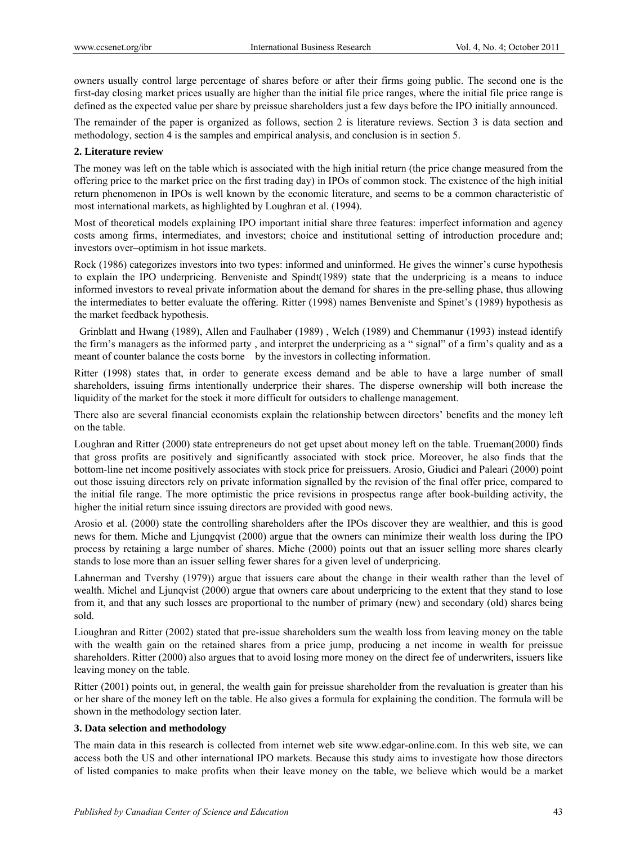owners usually control large percentage of shares before or after their firms going public. The second one is the first-day closing market prices usually are higher than the initial file price ranges, where the initial file price range is defined as the expected value per share by preissue shareholders just a few days before the IPO initially announced.

The remainder of the paper is organized as follows, section 2 is literature reviews. Section 3 is data section and methodology, section 4 is the samples and empirical analysis, and conclusion is in section 5.

# **2. Literature review**

The money was left on the table which is associated with the high initial return (the price change measured from the offering price to the market price on the first trading day) in IPOs of common stock. The existence of the high initial return phenomenon in IPOs is well known by the economic literature, and seems to be a common characteristic of most international markets, as highlighted by Loughran et al. (1994).

Most of theoretical models explaining IPO important initial share three features: imperfect information and agency costs among firms, intermediates, and investors; choice and institutional setting of introduction procedure and; investors over–optimism in hot issue markets.

Rock (1986) categorizes investors into two types: informed and uninformed. He gives the winner's curse hypothesis to explain the IPO underpricing. Benveniste and Spindt(1989) state that the underpricing is a means to induce informed investors to reveal private information about the demand for shares in the pre-selling phase, thus allowing the intermediates to better evaluate the offering. Ritter (1998) names Benveniste and Spinet's (1989) hypothesis as the market feedback hypothesis.

 Grinblatt and Hwang (1989), Allen and Faulhaber (1989) , Welch (1989) and Chemmanur (1993) instead identify the firm's managers as the informed party , and interpret the underpricing as a " signal" of a firm's quality and as a meant of counter balance the costs borne by the investors in collecting information.

Ritter (1998) states that, in order to generate excess demand and be able to have a large number of small shareholders, issuing firms intentionally underprice their shares. The disperse ownership will both increase the liquidity of the market for the stock it more difficult for outsiders to challenge management.

There also are several financial economists explain the relationship between directors' benefits and the money left on the table.

Loughran and Ritter (2000) state entrepreneurs do not get upset about money left on the table. Trueman(2000) finds that gross profits are positively and significantly associated with stock price. Moreover, he also finds that the bottom-line net income positively associates with stock price for preissuers. Arosio, Giudici and Paleari (2000) point out those issuing directors rely on private information signalled by the revision of the final offer price, compared to the initial file range. The more optimistic the price revisions in prospectus range after book-building activity, the higher the initial return since issuing directors are provided with good news.

Arosio et al. (2000) state the controlling shareholders after the IPOs discover they are wealthier, and this is good news for them. Miche and Ljungqvist (2000) argue that the owners can minimize their wealth loss during the IPO process by retaining a large number of shares. Miche (2000) points out that an issuer selling more shares clearly stands to lose more than an issuer selling fewer shares for a given level of underpricing.

Lahnerman and Tvershy (1979)) argue that issuers care about the change in their wealth rather than the level of wealth. Michel and Ljunqvist (2000) argue that owners care about underpricing to the extent that they stand to lose from it, and that any such losses are proportional to the number of primary (new) and secondary (old) shares being sold.

Lioughran and Ritter (2002) stated that pre-issue shareholders sum the wealth loss from leaving money on the table with the wealth gain on the retained shares from a price jump, producing a net income in wealth for preissue shareholders. Ritter (2000) also argues that to avoid losing more money on the direct fee of underwriters, issuers like leaving money on the table.

Ritter (2001) points out, in general, the wealth gain for preissue shareholder from the revaluation is greater than his or her share of the money left on the table. He also gives a formula for explaining the condition. The formula will be shown in the methodology section later.

## **3. Data selection and methodology**

The main data in this research is collected from internet web site www.edgar-online.com. In this web site, we can access both the US and other international IPO markets. Because this study aims to investigate how those directors of listed companies to make profits when their leave money on the table, we believe which would be a market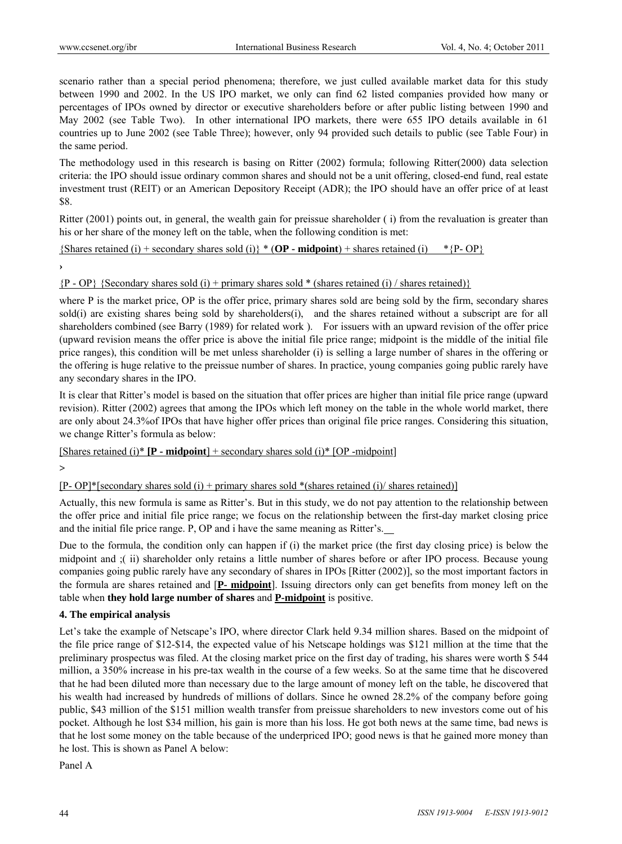scenario rather than a special period phenomena; therefore, we just culled available market data for this study between 1990 and 2002. In the US IPO market, we only can find 62 listed companies provided how many or percentages of IPOs owned by director or executive shareholders before or after public listing between 1990 and May 2002 (see Table Two). In other international IPO markets, there were 655 IPO details available in 61 countries up to June 2002 (see Table Three); however, only 94 provided such details to public (see Table Four) in the same period.

The methodology used in this research is basing on Ritter (2002) formula; following Ritter(2000) data selection criteria: the IPO should issue ordinary common shares and should not be a unit offering, closed-end fund, real estate investment trust (REIT) or an American Depository Receipt (ADR); the IPO should have an offer price of at least \$8.

Ritter (2001) points out, in general, the wealth gain for preissue shareholder ( i) from the revaluation is greater than his or her share of the money left on the table, when the following condition is met:

 ${\{Shares\,retained\,(i) + secondary\, shares\, sold\,(i)\}\, * \{OP - midpoint\} + shares\, retained\,(i) \quad * \{P-OP\}}$ 

**›**

 ${P - OP}$  {Secondary shares sold (i) + primary shares sold \* (shares retained (i) / shares retained)}

where P is the market price, OP is the offer price, primary shares sold are being sold by the firm, secondary shares sold(i) are existing shares being sold by shareholders(i), and the shares retained without a subscript are for all shareholders combined (see Barry (1989) for related work ). For issuers with an upward revision of the offer price (upward revision means the offer price is above the initial file price range; midpoint is the middle of the initial file price ranges), this condition will be met unless shareholder (i) is selling a large number of shares in the offering or the offering is huge relative to the preissue number of shares. In practice, young companies going public rarely have any secondary shares in the IPO.

It is clear that Ritter's model is based on the situation that offer prices are higher than initial file price range (upward revision). Ritter (2002) agrees that among the IPOs which left money on the table in the whole world market, there are only about 24.3%of IPOs that have higher offer prices than original file price ranges. Considering this situation, we change Ritter's formula as below:

[Shares retained (i)\*  $[P - midpoint] + secondary shares sold (i)* [OP - midpoint]$ 

**>** 

 $[P-OP]*[secondary shares sold (i) + primary shares sold * (shares retained (i) / shares retained)]$ 

Actually, this new formula is same as Ritter's. But in this study, we do not pay attention to the relationship between the offer price and initial file price range; we focus on the relationship between the first-day market closing price and the initial file price range. P, OP and i have the same meaning as Ritter's.

Due to the formula, the condition only can happen if (i) the market price (the first day closing price) is below the midpoint and ;( ii) shareholder only retains a little number of shares before or after IPO process. Because young companies going public rarely have any secondary of shares in IPOs [Ritter (2002)], so the most important factors in the formula are shares retained and [**P- midpoint**]. Issuing directors only can get benefits from money left on the table when **they hold large number of shares** and **P-midpoint** is positive.

# **4. The empirical analysis**

Let's take the example of Netscape's IPO, where director Clark held 9.34 million shares. Based on the midpoint of the file price range of \$12-\$14, the expected value of his Netscape holdings was \$121 million at the time that the preliminary prospectus was filed. At the closing market price on the first day of trading, his shares were worth \$ 544 million, a 350% increase in his pre-tax wealth in the course of a few weeks. So at the same time that he discovered that he had been diluted more than necessary due to the large amount of money left on the table, he discovered that his wealth had increased by hundreds of millions of dollars. Since he owned 28.2% of the company before going public, \$43 million of the \$151 million wealth transfer from preissue shareholders to new investors come out of his pocket. Although he lost \$34 million, his gain is more than his loss. He got both news at the same time, bad news is that he lost some money on the table because of the underpriced IPO; good news is that he gained more money than he lost. This is shown as Panel A below:

Panel A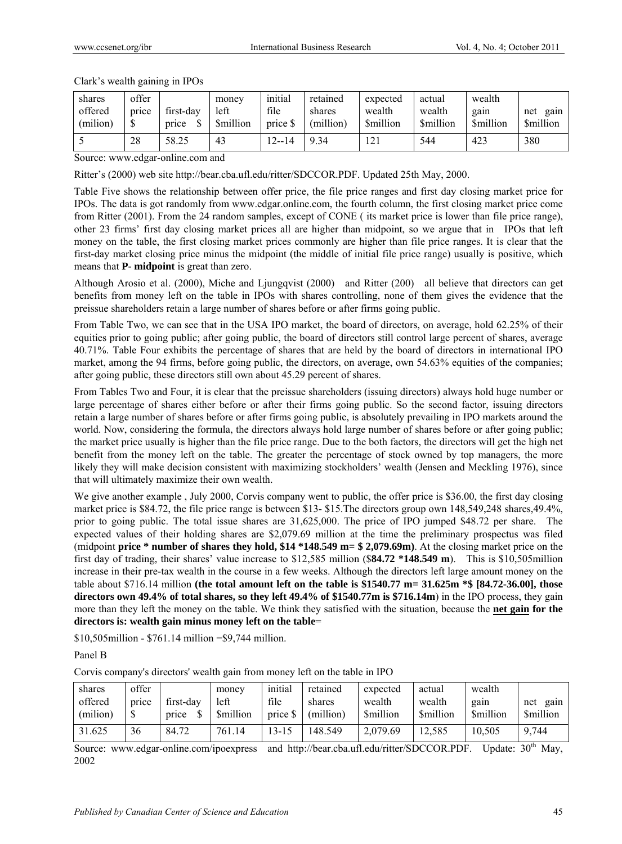#### Clark's wealth gaining in IPOs

| shares<br>offered<br>(milion) | offer<br>price | first-day<br>price | money<br>left<br><b>Smillion</b> | initial<br>file<br>price \$ | retained<br>shares<br>(million) | expected<br>wealth<br><b>Smillion</b> | actual<br>wealth<br><b>Smillion</b> | wealth<br>gain<br><b>Smillion</b> | gain<br>net<br><b>Smillion</b> |
|-------------------------------|----------------|--------------------|----------------------------------|-----------------------------|---------------------------------|---------------------------------------|-------------------------------------|-----------------------------------|--------------------------------|
|                               | 28             | 58.25              | 43                               | 12--14<br>$2-1$             | 9.34                            | .21                                   | 544                                 | 423                               | 380                            |

Source: www.edgar-online.com and

Ritter's (2000) web site http://bear.cba.ufl.edu/ritter/SDCCOR.PDF. Updated 25th May, 2000.

Table Five shows the relationship between offer price, the file price ranges and first day closing market price for IPOs. The data is got randomly from www.edgar.online.com, the fourth column, the first closing market price come from Ritter (2001). From the 24 random samples, except of CONE ( its market price is lower than file price range), other 23 firms' first day closing market prices all are higher than midpoint, so we argue that in IPOs that left money on the table, the first closing market prices commonly are higher than file price ranges. It is clear that the first-day market closing price minus the midpoint (the middle of initial file price range) usually is positive, which means that **P- midpoint** is great than zero.

Although Arosio et al. (2000), Miche and Ljungqvist (2000) and Ritter (200) all believe that directors can get benefits from money left on the table in IPOs with shares controlling, none of them gives the evidence that the preissue shareholders retain a large number of shares before or after firms going public.

From Table Two, we can see that in the USA IPO market, the board of directors, on average, hold 62.25% of their equities prior to going public; after going public, the board of directors still control large percent of shares, average 40.71%. Table Four exhibits the percentage of shares that are held by the board of directors in international IPO market, among the 94 firms, before going public, the directors, on average, own 54.63% equities of the companies; after going public, these directors still own about 45.29 percent of shares.

From Tables Two and Four, it is clear that the preissue shareholders (issuing directors) always hold huge number or large percentage of shares either before or after their firms going public. So the second factor, issuing directors retain a large number of shares before or after firms going public, is absolutely prevailing in IPO markets around the world. Now, considering the formula, the directors always hold large number of shares before or after going public; the market price usually is higher than the file price range. Due to the both factors, the directors will get the high net benefit from the money left on the table. The greater the percentage of stock owned by top managers, the more likely they will make decision consistent with maximizing stockholders' wealth (Jensen and Meckling 1976), since that will ultimately maximize their own wealth.

We give another example, July 2000, Corvis company went to public, the offer price is \$36.00, the first day closing market price is \$84.72, the file price range is between \$13- \$15.The directors group own 148,549,248 shares,49.4%, prior to going public. The total issue shares are 31,625,000. The price of IPO jumped \$48.72 per share. The expected values of their holding shares are \$2,079.69 million at the time the preliminary prospectus was filed (midpoint **price \* number of shares they hold, \$14 \*148.549 m= \$ 2,079.69m)**. At the closing market price on the first day of trading, their shares' value increase to \$12,585 million (\$**84.72 \*148.549 m**). This is \$10,505million increase in their pre-tax wealth in the course in a few weeks. Although the directors left large amount money on the table about \$716.14 million **(the total amount left on the table is \$1540.77 m= 31.625m \*\$ [84.72-36.00], those directors own 49.4% of total shares, so they left 49.4% of \$1540.77m is \$716.14m**) in the IPO process, they gain more than they left the money on the table. We think they satisfied with the situation, because the **net gain for the directors is: wealth gain minus money left on the table**=

\$10,505million - \$761.14 million =\$9,744 million.

Panel B

Corvis company's directors' wealth gain from money left on the table in IPO

| shares<br>offered<br>(milion) | offer<br>price | first-day<br>price | money<br>left<br><b>Smillion</b> | initial<br>file<br>price \$ | retained<br>shares<br>(million) | expected<br>wealth<br><b>Smillion</b> | actual<br>wealth<br><b>Smillion</b> | wealth<br>gain<br><b>Smillion</b> | gain<br>net<br><b>Smillion</b> |
|-------------------------------|----------------|--------------------|----------------------------------|-----------------------------|---------------------------------|---------------------------------------|-------------------------------------|-----------------------------------|--------------------------------|
| 31.625                        | 36             | 84.72              | 761.14                           | 13-15                       | 148.549                         | 2,079.69                              | 12.585                              | 10,505                            | 9,744                          |

Source: www.edgar-online.com/ipoexpress and http://bear.cba.ufl.edu/ritter/SDCCOR.PDF. Update: 30<sup>th</sup> May, 2002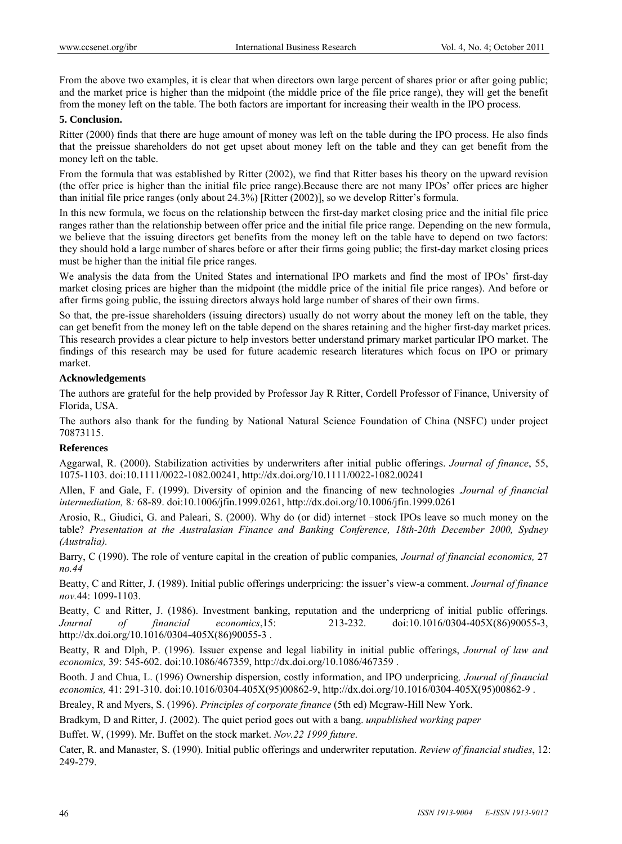From the above two examples, it is clear that when directors own large percent of shares prior or after going public; and the market price is higher than the midpoint (the middle price of the file price range), they will get the benefit from the money left on the table. The both factors are important for increasing their wealth in the IPO process.

#### **5. Conclusion.**

Ritter (2000) finds that there are huge amount of money was left on the table during the IPO process. He also finds that the preissue shareholders do not get upset about money left on the table and they can get benefit from the money left on the table.

From the formula that was established by Ritter (2002), we find that Ritter bases his theory on the upward revision (the offer price is higher than the initial file price range).Because there are not many IPOs' offer prices are higher than initial file price ranges (only about 24.3%) [Ritter (2002)], so we develop Ritter's formula.

In this new formula, we focus on the relationship between the first-day market closing price and the initial file price ranges rather than the relationship between offer price and the initial file price range. Depending on the new formula, we believe that the issuing directors get benefits from the money left on the table have to depend on two factors: they should hold a large number of shares before or after their firms going public; the first-day market closing prices must be higher than the initial file price ranges.

We analysis the data from the United States and international IPO markets and find the most of IPOs' first-day market closing prices are higher than the midpoint (the middle price of the initial file price ranges). And before or after firms going public, the issuing directors always hold large number of shares of their own firms.

So that, the pre-issue shareholders (issuing directors) usually do not worry about the money left on the table, they can get benefit from the money left on the table depend on the shares retaining and the higher first-day market prices. This research provides a clear picture to help investors better understand primary market particular IPO market. The findings of this research may be used for future academic research literatures which focus on IPO or primary market.

## **Acknowledgements**

The authors are grateful for the help provided by Professor Jay R Ritter, Cordell Professor of Finance, University of Florida, USA.

The authors also thank for the funding by National Natural Science Foundation of China (NSFC) under project 70873115.

## **References**

Aggarwal, R. (2000). Stabilization activities by underwriters after initial public offerings. *Journal of finance*, 55, 1075-1103. doi:10.1111/0022-1082.00241, http://dx.doi.org/10.1111/0022-1082.00241

Allen, F and Gale, F. (1999). Diversity of opinion and the financing of new technologies .*Journal of financial intermediation,* 8*:* 68-89. doi:10.1006/jfin.1999.0261, http://dx.doi.org/10.1006/jfin.1999.0261

Arosio, R., Giudici, G. and Paleari, S. (2000). Why do (or did) internet –stock IPOs leave so much money on the table? *Presentation at the Australasian Finance and Banking Conference, 18th-20th December 2000, Sydney (Australia).*

Barry, C (1990). The role of venture capital in the creation of public companies*, Journal of financial economics,* 27 *no.44* 

Beatty, C and Ritter, J. (1989). Initial public offerings underpricing: the issuer's view-a comment. *Journal of finance nov.*44: 1099-1103.

Beatty, C and Ritter, J. (1986). Investment banking, reputation and the underpricng of initial public offerings. *Journal of financial economics*,15: 213-232. doi:10.1016/0304-405X(86)90055-3, http://dx.doi.org/10.1016/0304-405X(86)90055-3 .

Beatty, R and Dlph, P. (1996). Issuer expense and legal liability in initial public offerings, *Journal of law and economics,* 39: 545-602. doi:10.1086/467359, http://dx.doi.org/10.1086/467359 .

Booth. J and Chua, L. (1996) Ownership dispersion, costly information, and IPO underpricing*, Journal of financial economics,* 41: 291-310. doi:10.1016/0304-405X(95)00862-9, http://dx.doi.org/10.1016/0304-405X(95)00862-9 .

Brealey, R and Myers, S. (1996). *Principles of corporate finance* (5th ed) Mcgraw-Hill New York.

Bradkym, D and Ritter, J. (2002). The quiet period goes out with a bang. *unpublished working paper*

Buffet. W, (1999). Mr. Buffet on the stock market. *Nov.22 1999 future*.

Cater, R. and Manaster, S. (1990). Initial public offerings and underwriter reputation. *Review of financial studies*, 12: 249-279.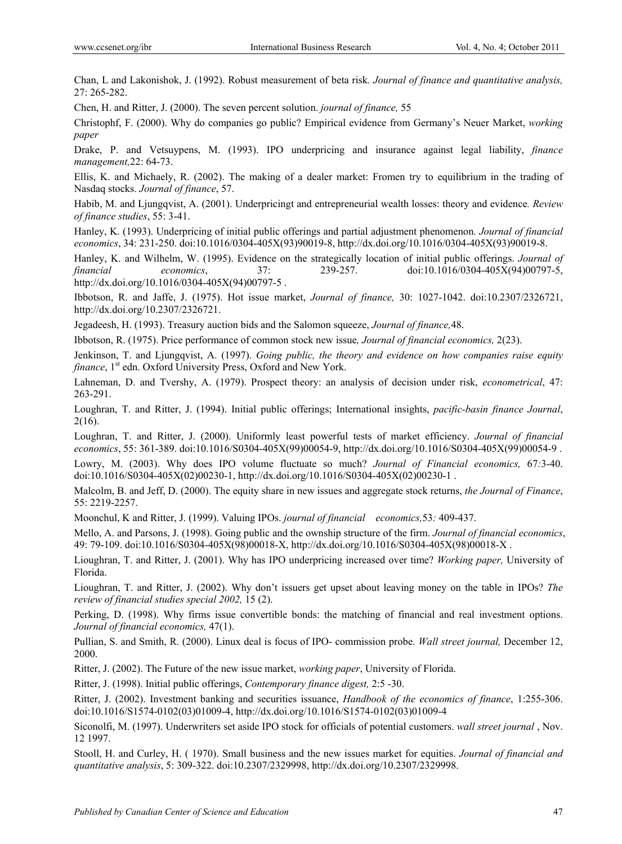Chan, L and Lakonishok, J. (1992). Robust measurement of beta risk*. Journal of finance and quantitative analysis,*  27: 265-282.

Chen, H. and Ritter, J. (2000). The seven percent solution. *journal of finance,* 55

Christophf, F. (2000). Why do companies go public? Empirical evidence from Germany's Neuer Market, *working paper*

Drake, P. and Vetsuypens, M. (1993). IPO underpricing and insurance against legal liability, *finance management,*22: 64-73.

Ellis, K. and Michaely, R. (2002). The making of a dealer market: Fromen try to equilibrium in the trading of Nasdaq stocks. *Journal of finance*, 57.

Habib, M. and Ljungqvist, A. (2001). Underpricingt and entrepreneurial wealth losses: theory and evidence*. Review of finance studies*, 55: 3-41.

Hanley, K. (1993). Underpricing of initial public offerings and partial adjustment phenomenon*. Journal of financial economics*, 34: 231-250. doi:10.1016/0304-405X(93)90019-8, http://dx.doi.org/10.1016/0304-405X(93)90019-8.

Hanley, K. and Wilhelm, W. (1995). Evidence on the strategically location of initial public offerings. *Journal of financial economics*, 37: 239-257. doi:10.1016/0304-405X(94)00797-5, http://dx.doi.org/10.1016/0304-405X(94)00797-5 .

Ibbotson, R. and Jaffe, J. (1975). Hot issue market, *Journal of finance,* 30: 1027-1042. doi:10.2307/2326721, http://dx.doi.org/10.2307/2326721.

Jegadeesh, H. (1993). Treasury auction bids and the Salomon squeeze, *Journal of finance,*48.

Ibbotson, R. (1975). Price performance of common stock new issue*, Journal of financial economics,* 2(23).

Jenkinson, T. and Ljungqvist, A. (1997). *Going public, the theory and evidence on how companies raise equity finance*, 1<sup>st</sup> edn. Oxford University Press, Oxford and New York.

Lahneman, D. and Tvershy, A. (1979). Prospect theory: an analysis of decision under risk, *econometrical*, 47: 263-291.

Loughran, T. and Ritter, J. (1994). Initial public offerings; International insights, *pacific-basin finance Journal*, 2(16).

Loughran, T. and Ritter, J. (2000). Uniformly least powerful tests of market efficiency. *Journal of financial economics*, 55: 361-389. doi:10.1016/S0304-405X(99)00054-9, http://dx.doi.org/10.1016/S0304-405X(99)00054-9 .

Lowry, M. (2003). Why does IPO volume fluctuate so much? *Journal of Financial economics,* 67*:*3-40. doi:10.1016/S0304-405X(02)00230-1, http://dx.doi.org/10.1016/S0304-405X(02)00230-1 .

Malcolm, B. and Jeff, D. (2000). The equity share in new issues and aggregate stock returns, *the Journal of Finance*, 55: 2219-2257.

Moonchul, K and Ritter, J. (1999). Valuing IPOs. *journal of financial economics,*53*:* 409-437.

Mello, A. and Parsons, J. (1998). Going public and the ownship structure of the firm. *Journal of financial economics*, 49: 79-109. doi:10.1016/S0304-405X(98)00018-X, http://dx.doi.org/10.1016/S0304-405X(98)00018-X .

Lioughran, T. and Ritter, J. (2001). Why has IPO underpricing increased over time? *Working paper,* University of Florida.

Lioughran, T. and Ritter, J. (2002). Why don't issuers get upset about leaving money on the table in IPOs? *The review of financial studies special 2002,* 15 (2).

Perking, D. (1998). Why firms issue convertible bonds: the matching of financial and real investment options. *Journal of financial economics,* 47(1).

Pullian, S. and Smith, R. (2000). Linux deal is focus of IPO- commission probe. *Wall street journal,* December 12, 2000.

Ritter, J. (2002). The Future of the new issue market, *working paper*, University of Florida.

Ritter, J. (1998). Initial public offerings, *Contemporary finance digest,* 2:5 -30.

Ritter, J. (2002). Investment banking and securities issuance, *Handbook of the economics of finance*, 1:255-306. doi:10.1016/S1574-0102(03)01009-4, http://dx.doi.org/10.1016/S1574-0102(03)01009-4

Siconolfi, M. (1997). Underwriters set aside IPO stock for officials of potential customers. *wall street journal* , Nov. 12 1997.

Stooll, H. and Curley, H. ( 1970). Small business and the new issues market for equities. *Journal of financial and quantitative analysis*, 5: 309-322. doi:10.2307/2329998, http://dx.doi.org/10.2307/2329998.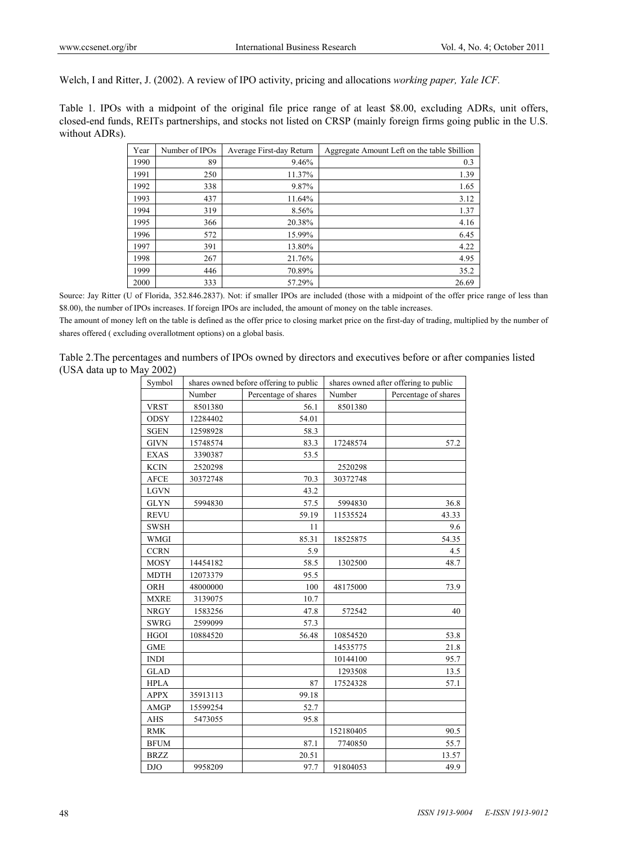Welch, I and Ritter, J. (2002). A review of IPO activity, pricing and allocations *working paper, Yale ICF.*

Table 1. IPOs with a midpoint of the original file price range of at least \$8.00, excluding ADRs, unit offers, closed-end funds, REITs partnerships, and stocks not listed on CRSP (mainly foreign firms going public in the U.S. without ADRs).

| Year | Number of IPOs | Average First-day Return | Aggregate Amount Left on the table Sbillion |
|------|----------------|--------------------------|---------------------------------------------|
| 1990 | 89             | 9.46%                    | 0.3                                         |
| 1991 | 250            | 11.37%                   | 1.39                                        |
| 1992 | 338            | 9.87%                    | 1.65                                        |
| 1993 | 437            | 11.64%                   | 3.12                                        |
| 1994 | 319            | 8.56%                    | 1.37                                        |
| 1995 | 366            | 20.38%                   | 4.16                                        |
| 1996 | 572            | 15.99%                   | 6.45                                        |
| 1997 | 391            | 13.80%                   | 4.22                                        |
| 1998 | 267            | 21.76%                   | 4.95                                        |
| 1999 | 446            | 70.89%                   | 35.2                                        |
| 2000 | 333            | 57.29%                   | 26.69                                       |

Source: Jay Ritter (U of Florida, 352.846.2837). Not: if smaller IPOs are included (those with a midpoint of the offer price range of less than \$8.00), the number of IPOs increases. If foreign IPOs are included, the amount of money on the table increases.

The amount of money left on the table is defined as the offer price to closing market price on the first-day of trading, multiplied by the number of shares offered ( excluding overallotment options) on a global basis.

Table 2.The percentages and numbers of IPOs owned by directors and executives before or after companies listed (USA data up to May 2002)

| Symbol      |          | shares owned before offering to public | shares owned after offering to public |                      |  |  |
|-------------|----------|----------------------------------------|---------------------------------------|----------------------|--|--|
|             | Number   | Percentage of shares                   | Number                                | Percentage of shares |  |  |
| <b>VRST</b> | 8501380  | 56.1                                   | 8501380                               |                      |  |  |
| <b>ODSY</b> | 12284402 | 54.01                                  |                                       |                      |  |  |
| <b>SGEN</b> | 12598928 | 58.3                                   |                                       |                      |  |  |
| <b>GIVN</b> | 15748574 | 83.3                                   | 17248574                              | 57.2                 |  |  |
| <b>EXAS</b> | 3390387  | 53.5                                   |                                       |                      |  |  |
| <b>KCIN</b> | 2520298  |                                        | 2520298                               |                      |  |  |
| <b>AFCE</b> | 30372748 | 70.3                                   | 30372748                              |                      |  |  |
| <b>LGVN</b> |          | 43.2                                   |                                       |                      |  |  |
| <b>GLYN</b> | 5994830  | 57.5                                   | 5994830                               | 36.8                 |  |  |
| <b>REVU</b> |          | 59.19                                  | 11535524                              | 43.33                |  |  |
| <b>SWSH</b> |          | 11                                     |                                       | 9.6                  |  |  |
| <b>WMGI</b> |          | 85.31                                  | 18525875                              | 54.35                |  |  |
| <b>CCRN</b> |          | 5.9                                    |                                       | 4.5                  |  |  |
| <b>MOSY</b> | 14454182 | 58.5                                   | 1302500                               | 48.7                 |  |  |
| <b>MDTH</b> | 12073379 | 95.5                                   |                                       |                      |  |  |
| ORH         | 48000000 | 100                                    | 48175000                              | 73.9                 |  |  |
| <b>MXRE</b> | 3139075  | 10.7                                   |                                       |                      |  |  |
| <b>NRGY</b> | 1583256  | 47.8                                   | 572542                                | 40                   |  |  |
| <b>SWRG</b> | 2599099  | 57.3                                   |                                       |                      |  |  |
| <b>HGOI</b> | 10884520 | 56.48                                  | 10854520                              | 53.8                 |  |  |
| <b>GME</b>  |          |                                        | 14535775                              | 21.8                 |  |  |
| <b>INDI</b> |          |                                        | 10144100                              | 95.7                 |  |  |
| <b>GLAD</b> |          |                                        | 1293508                               | 13.5                 |  |  |
| <b>HPLA</b> |          | 87                                     | 17524328                              | 57.1                 |  |  |
| <b>APPX</b> | 35913113 | 99.18                                  |                                       |                      |  |  |
| <b>AMGP</b> | 15599254 | 52.7                                   |                                       |                      |  |  |
| <b>AHS</b>  | 5473055  | 95.8                                   |                                       |                      |  |  |
| <b>RMK</b>  |          |                                        | 152180405                             | 90.5                 |  |  |
| <b>BFUM</b> |          | 87.1                                   | 7740850                               | 55.7                 |  |  |
| <b>BRZZ</b> |          | 20.51                                  |                                       | 13.57                |  |  |
| DJO         | 9958209  | 97.7                                   | 91804053                              | 49.9                 |  |  |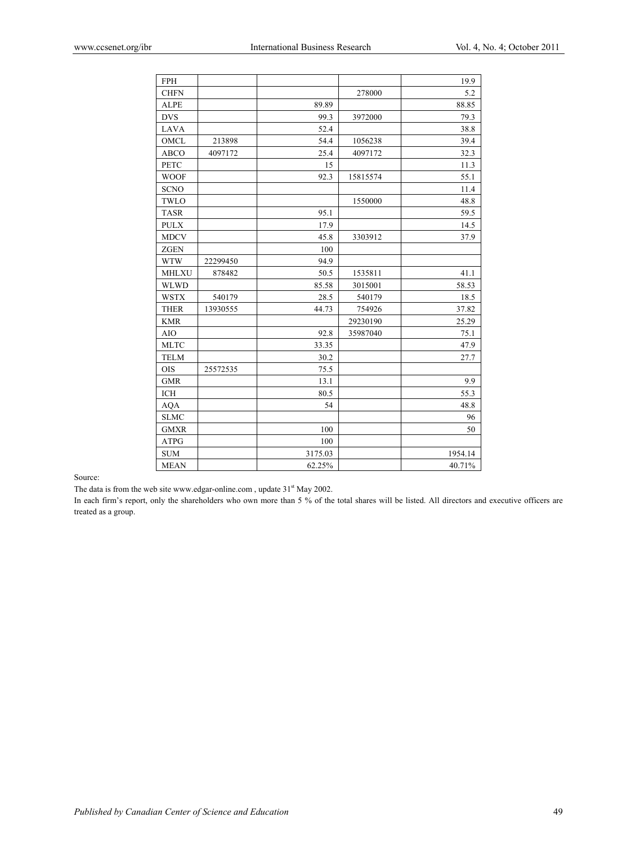| <b>FPH</b>   |          |         |          | 19.9    |
|--------------|----------|---------|----------|---------|
| <b>CHFN</b>  |          |         | 278000   | 5.2     |
| <b>ALPE</b>  |          | 89.89   |          | 88.85   |
| <b>DVS</b>   |          | 99.3    | 3972000  | 79.3    |
| <b>LAVA</b>  |          | 52.4    |          | 38.8    |
| OMCL         | 213898   | 54.4    | 1056238  | 39.4    |
| <b>ABCO</b>  | 4097172  | 25.4    | 4097172  | 32.3    |
| <b>PETC</b>  |          | 15      |          | 11.3    |
| <b>WOOF</b>  |          | 92.3    | 15815574 | 55.1    |
| <b>SCNO</b>  |          |         |          | 11.4    |
| TWLO         |          |         | 1550000  | 48.8    |
| <b>TASR</b>  |          | 95.1    |          | 59.5    |
| <b>PULX</b>  |          | 17.9    |          | 14.5    |
| <b>MDCV</b>  |          | 45.8    | 3303912  | 37.9    |
| <b>ZGEN</b>  |          | 100     |          |         |
| <b>WTW</b>   | 22299450 | 94.9    |          |         |
| <b>MHLXU</b> | 878482   | 50.5    | 1535811  | 41.1    |
| <b>WLWD</b>  |          | 85.58   | 3015001  | 58.53   |
| <b>WSTX</b>  | 540179   | 28.5    | 540179   | 18.5    |
| <b>THER</b>  | 13930555 | 44.73   | 754926   | 37.82   |
| <b>KMR</b>   |          |         | 29230190 | 25.29   |
| AIO          |          | 92.8    | 35987040 | 75.1    |
| <b>MLTC</b>  |          | 33.35   |          | 47.9    |
| <b>TELM</b>  |          | 30.2    |          | 27.7    |
| <b>OIS</b>   | 25572535 | 75.5    |          |         |
| <b>GMR</b>   |          | 13.1    |          | 9.9     |
| <b>ICH</b>   |          | 80.5    |          | 55.3    |
| <b>AQA</b>   |          | 54      |          | 48.8    |
| <b>SLMC</b>  |          |         |          | 96      |
| <b>GMXR</b>  |          | 100     |          | 50      |
| <b>ATPG</b>  |          | 100     |          |         |
| <b>SUM</b>   |          | 3175.03 |          | 1954.14 |
| <b>MEAN</b>  |          | 62.25%  |          | 40.71%  |

Source:

The data is from the web site www.edgar-online.com, update 31<sup>st</sup> May 2002.

In each firm's report, only the shareholders who own more than 5 % of the total shares will be listed. All directors and executive officers are treated as a group.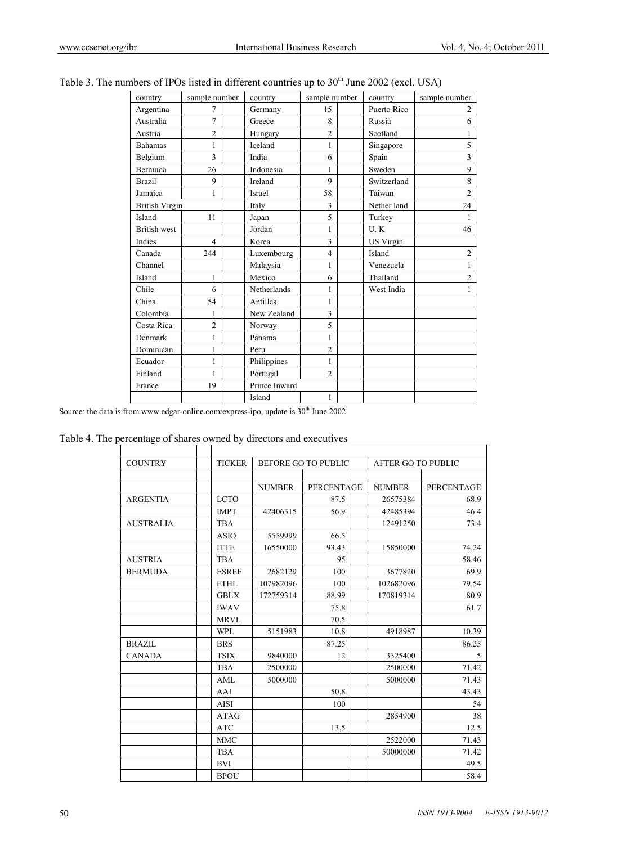| country               | sample number  | country       | sample number  | country          | sample number  |
|-----------------------|----------------|---------------|----------------|------------------|----------------|
| Argentina             | 7              | Germany       | 15             | Puerto Rico      | $\overline{2}$ |
| Australia             | $\overline{7}$ | Greece        | 8              | Russia           | 6              |
| Austria               | $\overline{c}$ | Hungary       | $\overline{c}$ | Scotland         | 1              |
| <b>Bahamas</b>        | 1              | Iceland       | 1              | Singapore        | 5              |
| Belgium               | 3              | India         | 6              | Spain            | 3              |
| Bermuda               | 26             | Indonesia     | 1              | Sweden           | 9              |
| <b>Brazil</b>         | 9              | Ireland       | 9              | Switzerland      | 8              |
| Jamaica               | 1              | Israel        | 58             | Taiwan           | $\overline{2}$ |
| <b>British Virgin</b> |                | Italy         | 3              | Nether land      | 24             |
| Island                | 11             | Japan         | 5              | Turkey           | 1              |
| British west          |                | Jordan        | 1              | U.K              | 46             |
| Indies                | $\overline{4}$ | Korea         | 3              | <b>US Virgin</b> |                |
| Canada                | 244            | Luxembourg    | $\overline{4}$ | Island           | $\overline{c}$ |
| Channel               |                | Malaysia      | 1              | Venezuela        | 1              |
| Island                | $\mathbf{1}$   | Mexico        | 6              | Thailand         | $\overline{2}$ |
| Chile                 | 6              | Netherlands   | 1              | West India       | 1              |
| China                 | 54             | Antilles      | 1              |                  |                |
| Colombia              | 1              | New Zealand   | 3              |                  |                |
| Costa Rica            | $\overline{c}$ | Norway        | 5              |                  |                |
| Denmark               | 1              | Panama        | 1              |                  |                |
| Dominican             | 1              | Peru          | $\overline{c}$ |                  |                |
| Ecuador               | 1              | Philippines   | 1              |                  |                |
| Finland               | $\mathbf{1}$   | Portugal      | $\overline{c}$ |                  |                |
| France                | 19             | Prince Inward |                |                  |                |
|                       |                | Island        | 1              |                  |                |

Table 3. The numbers of IPOs listed in different countries up to  $30<sup>th</sup>$  June 2002 (excl. USA)

Source: the data is from www.edgar-online.com/express-ipo, update is  $30<sup>th</sup>$  June 2002

Table 4. The percentage of shares owned by directors and executives

| <b>COUNTRY</b>   | <b>TICKER</b> |               | <b>BEFORE GO TO PUBLIC</b> | <b>AFTER GO TO PUBLIC</b> |                   |
|------------------|---------------|---------------|----------------------------|---------------------------|-------------------|
|                  |               |               |                            |                           |                   |
|                  |               | <b>NUMBER</b> | <b>PERCENTAGE</b>          | <b>NUMBER</b>             | <b>PERCENTAGE</b> |
| <b>ARGENTIA</b>  | <b>LCTO</b>   |               | 87.5                       | 26575384                  | 68.9              |
|                  | <b>IMPT</b>   | 42406315      | 56.9                       | 42485394                  | 46.4              |
| <b>AUSTRALIA</b> | <b>TBA</b>    |               |                            | 12491250                  | 73.4              |
|                  | <b>ASIO</b>   | 5559999       | 66.5                       |                           |                   |
|                  | <b>ITTE</b>   | 16550000      | 93.43                      | 15850000                  | 74.24             |
| <b>AUSTRIA</b>   | <b>TBA</b>    |               | 95                         |                           | 58.46             |
| <b>BERMUDA</b>   | <b>ESREF</b>  | 2682129       | 100                        | 3677820                   | 69.9              |
|                  | FTHL          | 107982096     | 100                        | 102682096                 | 79.54             |
|                  | <b>GBLX</b>   | 172759314     | 88.99                      | 170819314                 | 80.9              |
|                  | <b>IWAV</b>   |               | 75.8                       |                           | 61.7              |
|                  | <b>MRVL</b>   |               | 70.5                       |                           |                   |
|                  | <b>WPL</b>    | 5151983       | 10.8                       | 4918987                   | 10.39             |
| <b>BRAZIL</b>    | <b>BRS</b>    |               | 87.25                      |                           | 86.25             |
| <b>CANADA</b>    | <b>TSIX</b>   | 9840000       | 12                         | 3325400                   | 5                 |
|                  | <b>TBA</b>    | 2500000       |                            | 2500000                   | 71.42             |
|                  | AML           | 5000000       |                            | 5000000                   | 71.43             |
|                  | AAI           |               | 50.8                       |                           | 43.43             |
|                  | <b>AISI</b>   |               | 100                        |                           | 54                |
|                  | <b>ATAG</b>   |               |                            | 2854900                   | 38                |
|                  | <b>ATC</b>    |               | 13.5                       |                           | 12.5              |
|                  | <b>MMC</b>    |               |                            | 2522000                   | 71.43             |
|                  | <b>TBA</b>    |               |                            | 50000000                  | 71.42             |
|                  | <b>BVI</b>    |               |                            |                           | 49.5              |
|                  | <b>BPOU</b>   |               |                            |                           | 58.4              |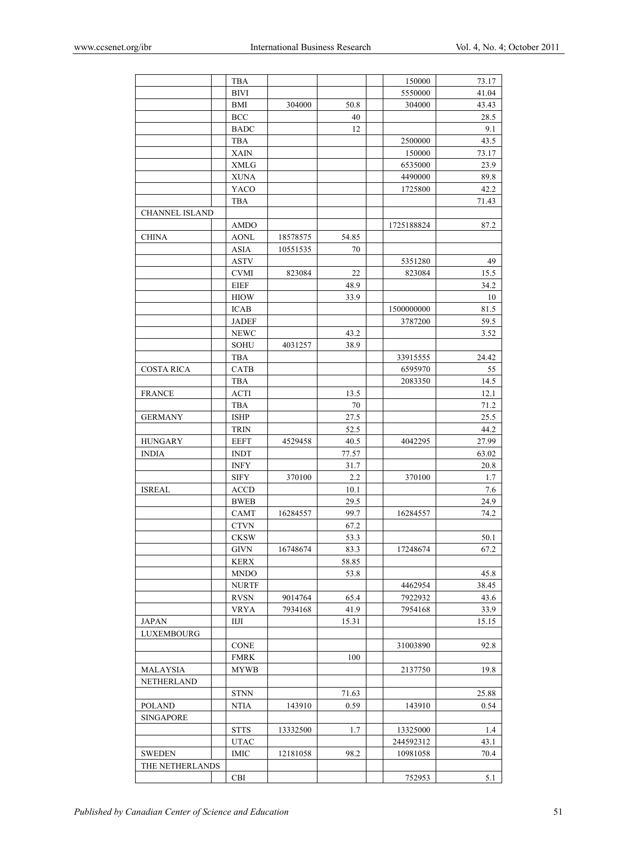|                       | <b>TBA</b>                  |          |       | 150000     | 73.17 |
|-----------------------|-----------------------------|----------|-------|------------|-------|
|                       | <b>BIVI</b>                 |          |       | 5550000    | 41.04 |
|                       | BMI                         | 304000   | 50.8  | 304000     | 43.43 |
|                       | <b>BCC</b>                  |          | 40    |            | 28.5  |
|                       | <b>BADC</b>                 |          | 12    |            | 9.1   |
|                       | <b>TBA</b>                  |          |       | 2500000    | 43.5  |
|                       | <b>XAIN</b>                 |          |       | 150000     | 73.17 |
|                       | <b>XMLG</b>                 |          |       | 6535000    | 23.9  |
|                       | <b>XUNA</b>                 |          |       | 4490000    | 89.8  |
|                       | YACO                        |          |       | 1725800    | 42.2  |
|                       | <b>TBA</b>                  |          |       |            | 71.43 |
|                       |                             |          |       |            |       |
| <b>CHANNEL ISLAND</b> |                             |          |       |            |       |
|                       | <b>AMDO</b>                 |          |       | 1725188824 | 87.2  |
| CHINA                 | <b>AONL</b>                 | 18578575 | 54.85 |            |       |
|                       | ASIA                        | 10551535 | 70    |            |       |
|                       | <b>ASTV</b>                 |          |       | 5351280    | 49    |
|                       | <b>CVMI</b>                 | 823084   | 22    | 823084     | 15.5  |
|                       | <b>EIEF</b>                 |          | 48.9  |            | 34.2  |
|                       | <b>HIOW</b>                 |          | 33.9  |            | 10    |
|                       | <b>ICAB</b>                 |          |       | 1500000000 | 81.5  |
|                       | <b>JADEF</b>                |          |       | 3787200    | 59.5  |
|                       | <b>NEWC</b>                 |          | 43.2  |            | 3.52  |
|                       | <b>SOHU</b>                 | 4031257  | 38.9  |            |       |
|                       | <b>TBA</b>                  |          |       | 33915555   | 24.42 |
| <b>COSTA RICA</b>     | <b>CATB</b>                 |          |       | 6595970    | 55    |
|                       | TBA                         |          |       | 2083350    | 14.5  |
| <b>FRANCE</b>         | <b>ACTI</b>                 |          | 13.5  |            | 12.1  |
|                       | <b>TBA</b>                  |          | 70    |            | 71.2  |
| <b>GERMANY</b>        | <b>ISHP</b>                 |          | 27.5  |            | 25.5  |
|                       | <b>TRIN</b>                 |          | 52.5  |            | 44.2  |
| <b>HUNGARY</b>        | <b>EEFT</b>                 | 4529458  | 40.5  | 4042295    | 27.99 |
| <b>INDIA</b>          | <b>INDT</b>                 |          | 77.57 |            | 63.02 |
|                       |                             |          |       |            |       |
|                       | <b>INFY</b><br>${\rm SIFY}$ |          | 31.7  |            | 20.8  |
|                       |                             | 370100   | 2.2   | 370100     | 1.7   |
| <b>ISREAL</b>         | <b>ACCD</b>                 |          | 10.1  |            | 7.6   |
|                       | <b>BWEB</b>                 |          | 29.5  |            | 24.9  |
|                       | <b>CAMT</b>                 | 16284557 | 99.7  | 16284557   | 74.2  |
|                       | <b>CTVN</b>                 |          | 67.2  |            |       |
|                       | <b>CKSW</b>                 |          | 53.3  |            | 50.1  |
|                       | <b>GIVN</b>                 | 16748674 | 83.3  | 17248674   | 67.2  |
|                       | <b>KERX</b>                 |          | 58.85 |            |       |
|                       | <b>MNDO</b>                 |          | 53.8  |            | 45.8  |
|                       | <b>NURTF</b>                |          |       | 4462954    | 38.45 |
|                       | <b>RVSN</b>                 | 9014764  | 65.4  | 7922932    | 43.6  |
|                       | VRYA                        | 7934168  | 41.9  | 7954168    | 33.9  |
| JAPAN                 | ШЛ                          |          | 15.31 |            | 15.15 |
| LUXEMBOURG            |                             |          |       |            |       |
|                       | <b>CONE</b>                 |          |       | 31003890   | 92.8  |
|                       | <b>FMRK</b>                 |          | 100   |            |       |
| MALAYSIA              | <b>MYWB</b>                 |          |       | 2137750    | 19.8  |
| NETHERLAND            |                             |          |       |            |       |
|                       | <b>STNN</b>                 |          | 71.63 |            | 25.88 |
| <b>POLAND</b>         | NTIA                        | 143910   | 0.59  | 143910     | 0.54  |
| <b>SINGAPORE</b>      |                             |          |       |            |       |
|                       | <b>STTS</b>                 | 13332500 | 1.7   | 13325000   | 1.4   |
|                       | UTAC                        |          |       | 244592312  | 43.1  |
|                       |                             |          |       |            |       |
| <b>SWEDEN</b>         | IMIC                        | 12181058 | 98.2  | 10981058   | 70.4  |
| THE NETHERLANDS       |                             |          |       |            |       |
|                       | CBI                         |          |       | 752953     | 5.1   |